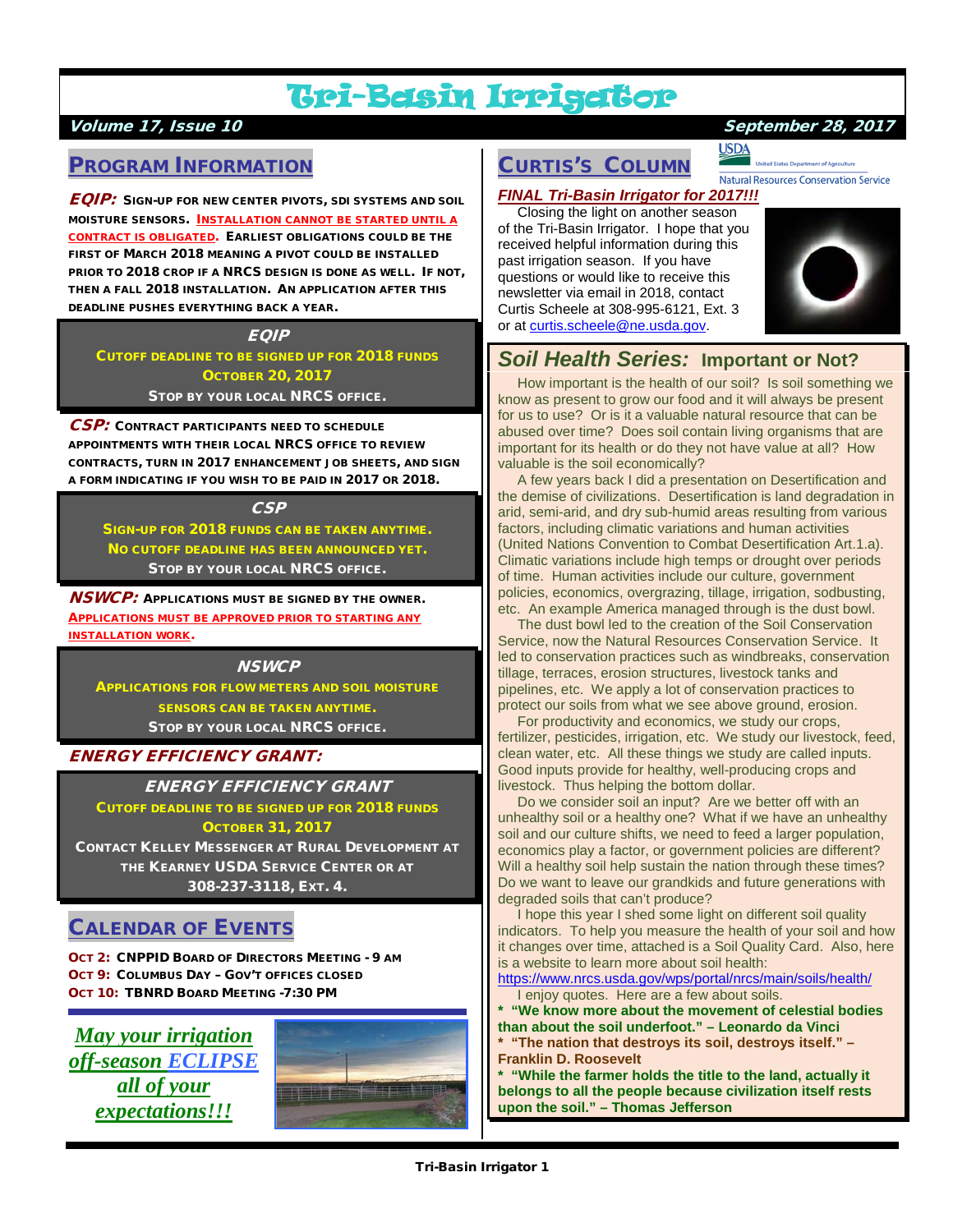# Tri-Basin Irrigator

### Volume 17, Issue 10 September 28, 2017

## PROGRAM INFORMATION

EQIP: SIGN-UP FOR NEW CENTER PIVOTS, SDI SYSTEMS AND SOIL MOISTURE SENSORS. INSTALLATION CANNOT BE STARTED UNTIL A CONTRACT IS OBLIGATED. EARLIEST OBLIGATIONS COULD BE THE FIRST OF MARCH 2018 MEANING A PIVOT COULD BE INSTALLED PRIOR TO 2018 CROP IF A NRCS DESIGN IS DONE AS WELL. IF NOT, THEN A FALL 2018 INSTALLATION. AN APPLICATION AFTER THIS DEADLINE PUSHES EVERYTHING BACK A YEAR.

### **EQIP** CUTOFF DEADLINE TO BE SIGNED UP FOR 2018 FUNDS OCTOBER 20, 2017 STOP BY YOUR LOCAL NRCS OFFICE.

CSP: CONTRACT PARTICIPANTS NEED TO SCHEDULE APPOINTMENTS WITH THEIR LOCAL NRCS OFFICE TO REVIEW CONTRACTS, TURN IN 2017 ENHANCEMENT JOB SHEETS, AND SIGN A FORM INDICATING IF YOU WISH TO BE PAID IN 2017 OR 2018.

### **CSP**

SIGN-UP FOR 2018 FUNDS CAN BE TAKEN ANYTIME. NO CUTOFF DEADLINE HAS BEEN ANNOUNCED YET. STOP BY YOUR LOCAL NRCS OFFICE.

**NSWCP:** APPLICATIONS MUST BE SIGNED BY THE OWNER. APPLICATIONS MUST BE APPROVED PRIOR TO STARTING ANY INSTALLATION WORK.

### **NSWCP**

APPLICATIONS FOR FLOW METERS AND SOIL MOISTURE SENSORS CAN BE TAKEN ANYTIME. STOP BY YOUR LOCAL NRCS OFFICE.

### ENERGY EFFICIENCY GRANT:

ENERGY EFFICIENCY GRANT

CUTOFF DEADLINE TO BE SIGNED UP FOR 2018 FUNDS OCTOBER 31, 2017

CONTACT KELLEY MESSENGER AT RURAL DEVELOPMENT AT THE KEARNEY USDA SERVICE CENTER OR AT 308-237-3118, EXT. 4.

# CALENDAR OF EVENTS

OCT 2: CNPPID BOARD OF DIRECTORS MEETING - 9 AM OCT 9: COLUMBUS DAY – GOV'T OFFICES CLOSED OCT 10: TBNRD BOARD MEETING -7:30 PM





# CURTIS'S COLUMN

### *FINAL Tri-Basin Irrigator for 2017!!!*

 Closing the light on another season of the Tri-Basin Irrigator. I hope that you received helpful information during this past irrigation season. If you have questions or would like to receive this newsletter via email in 2018, contact Curtis Scheele at 308-995-6121, Ext. 3 or a[t curtis.scheele@ne.usda.gov.](mailto:curtis.scheele@ne.usda.gov)



# *Soil Health Series:* **Important or Not?**

 How important is the health of our soil? Is soil something we know as present to grow our food and it will always be present for us to use? Or is it a valuable natural resource that can be abused over time? Does soil contain living organisms that are important for its health or do they not have value at all? How valuable is the soil economically?

 A few years back I did a presentation on Desertification and the demise of civilizations. Desertification is land degradation in arid, semi-arid, and dry sub-humid areas resulting from various factors, including climatic variations and human activities (United Nations Convention to Combat Desertification Art.1.a). Climatic variations include high temps or drought over periods of time. Human activities include our culture, government policies, economics, overgrazing, tillage, irrigation, sodbusting, etc. An example America managed through is the dust bowl.

 The dust bowl led to the creation of the Soil Conservation Service, now the Natural Resources Conservation Service. It led to conservation practices such as windbreaks, conservation tillage, terraces, erosion structures, livestock tanks and pipelines, etc. We apply a lot of conservation practices to protect our soils from what we see above ground, erosion.

 For productivity and economics, we study our crops, fertilizer, pesticides, irrigation, etc. We study our livestock, feed, clean water, etc. All these things we study are called inputs. Good inputs provide for healthy, well-producing crops and livestock. Thus helping the bottom dollar.

 Do we consider soil an input? Are we better off with an unhealthy soil or a healthy one? What if we have an unhealthy soil and our culture shifts, we need to feed a larger population, economics play a factor, or government policies are different? Will a healthy soil help sustain the nation through these times? Do we want to leave our grandkids and future generations with degraded soils that can't produce?

 I hope this year I shed some light on different soil quality indicators. To help you measure the health of your soil and how it changes over time, attached is a Soil Quality Card. Also, here is a website to learn more about soil health:

<https://www.nrcs.usda.gov/wps/portal/nrcs/main/soils/health/> enjoy quotes. Here are a few about soils.

**\* "We know more about the movement of celestial bodies than about the soil underfoot." – Leonardo da Vinci**

**\* "The nation that destroys its soil, destroys itself." – Franklin D. Roosevelt**

**\* "While the farmer holds the title to the land, actually it belongs to all the people because civilization itself rests upon the soil." – Thomas Jefferson**

**Natural Resources Conservation Service** 

**USDA**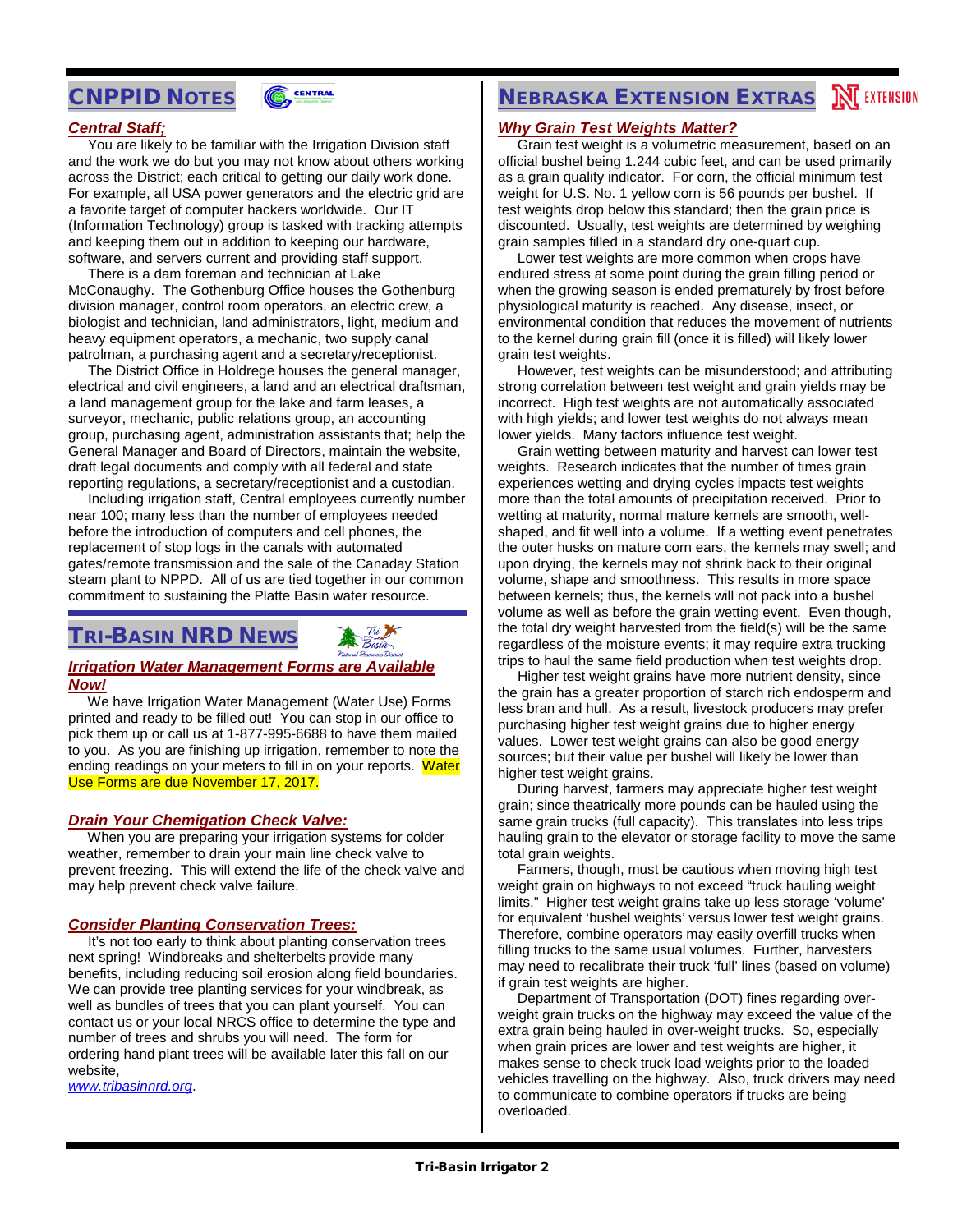# CNPPID NOTES



### *Central Staff;*

 You are likely to be familiar with the Irrigation Division staff and the work we do but you may not know about others working across the District; each critical to getting our daily work done. For example, all USA power generators and the electric grid are a favorite target of computer hackers worldwide. Our IT (Information Technology) group is tasked with tracking attempts and keeping them out in addition to keeping our hardware, software, and servers current and providing staff support.

 There is a dam foreman and technician at Lake McConaughy. The Gothenburg Office houses the Gothenburg division manager, control room operators, an electric crew, a biologist and technician, land administrators, light, medium and heavy equipment operators, a mechanic, two supply canal patrolman, a purchasing agent and a secretary/receptionist.

 The District Office in Holdrege houses the general manager, electrical and civil engineers, a land and an electrical draftsman, a land management group for the lake and farm leases, a surveyor, mechanic, public relations group, an accounting group, purchasing agent, administration assistants that; help the General Manager and Board of Directors, maintain the website, draft legal documents and comply with all federal and state reporting regulations, a secretary/receptionist and a custodian.

 Including irrigation staff, Central employees currently number near 100; many less than the number of employees needed before the introduction of computers and cell phones, the replacement of stop logs in the canals with automated gates/remote transmission and the sale of the Canaday Station steam plant to NPPD. All of us are tied together in our common commitment to sustaining the Platte Basin water resource.

# TRI-BASIN NRD NEWS

### *Irrigation Water Management Forms are Available Now!*

 We have Irrigation Water Management (Water Use) Forms printed and ready to be filled out! You can stop in our office to pick them up or call us at 1-877-995-6688 to have them mailed to you. As you are finishing up irrigation, remember to note the ending readings on your meters to fill in on your reports. Water Use Forms are due November 17, 2017.

### *Drain Your Chemigation Check Valve:*

 When you are preparing your irrigation systems for colder weather, remember to drain your main line check valve to prevent freezing. This will extend the life of the check valve and may help prevent check valve failure.

### *Consider Planting Conservation Trees:*

 It's not too early to think about planting conservation trees next spring! Windbreaks and shelterbelts provide many benefits, including reducing soil erosion along field boundaries. We can provide tree planting services for your windbreak, as well as bundles of trees that you can plant yourself. You can contact us or your local NRCS office to determine the type and number of trees and shrubs you will need. The form for ordering hand plant trees will be available later this fall on our website,

*[www.tribasinnrd.org](http://www.tribasinnrd.org/)*.

# **NEBRASKA EXTENSION EXTRAS NU EXTENSION**

### *Why Grain Test Weights Matter?*

 Grain test weight is a volumetric measurement, based on an official bushel being 1.244 cubic feet, and can be used primarily as a grain quality indicator. For corn, the official minimum test weight for U.S. No. 1 yellow corn is 56 pounds per bushel. If test weights drop below this standard; then the grain price is discounted. Usually, test weights are determined by weighing grain samples filled in a standard dry one-quart cup.

 Lower test weights are more common when crops have endured stress at some point during the grain filling period or when the growing season is ended prematurely by frost before physiological maturity is reached. Any disease, insect, or environmental condition that reduces the movement of nutrients to the kernel during grain fill (once it is filled) will likely lower grain test weights.

 However, test weights can be misunderstood; and attributing strong correlation between test weight and grain yields may be incorrect. High test weights are not automatically associated with high yields; and lower test weights do not always mean lower yields. Many factors influence test weight.

 Grain wetting between maturity and harvest can lower test weights. Research indicates that the number of times grain experiences wetting and drying cycles impacts test weights more than the total amounts of precipitation received. Prior to wetting at maturity, normal mature kernels are smooth, wellshaped, and fit well into a volume. If a wetting event penetrates the outer husks on mature corn ears, the kernels may swell; and upon drying, the kernels may not shrink back to their original volume, shape and smoothness. This results in more space between kernels; thus, the kernels will not pack into a bushel volume as well as before the grain wetting event. Even though, the total dry weight harvested from the field(s) will be the same regardless of the moisture events; it may require extra trucking trips to haul the same field production when test weights drop.

 Higher test weight grains have more nutrient density, since the grain has a greater proportion of starch rich endosperm and less bran and hull. As a result, livestock producers may prefer purchasing higher test weight grains due to higher energy values. Lower test weight grains can also be good energy sources; but their value per bushel will likely be lower than higher test weight grains.

 During harvest, farmers may appreciate higher test weight grain; since theatrically more pounds can be hauled using the same grain trucks (full capacity). This translates into less trips hauling grain to the elevator or storage facility to move the same total grain weights.

 Farmers, though, must be cautious when moving high test weight grain on highways to not exceed "truck hauling weight limits." Higher test weight grains take up less storage 'volume' for equivalent 'bushel weights' versus lower test weight grains. Therefore, combine operators may easily overfill trucks when filling trucks to the same usual volumes. Further, harvesters may need to recalibrate their truck 'full' lines (based on volume) if grain test weights are higher.

 Department of Transportation (DOT) fines regarding overweight grain trucks on the highway may exceed the value of the extra grain being hauled in over-weight trucks. So, especially when grain prices are lower and test weights are higher, it makes sense to check truck load weights prior to the loaded vehicles travelling on the highway. Also, truck drivers may need to communicate to combine operators if trucks are being overloaded.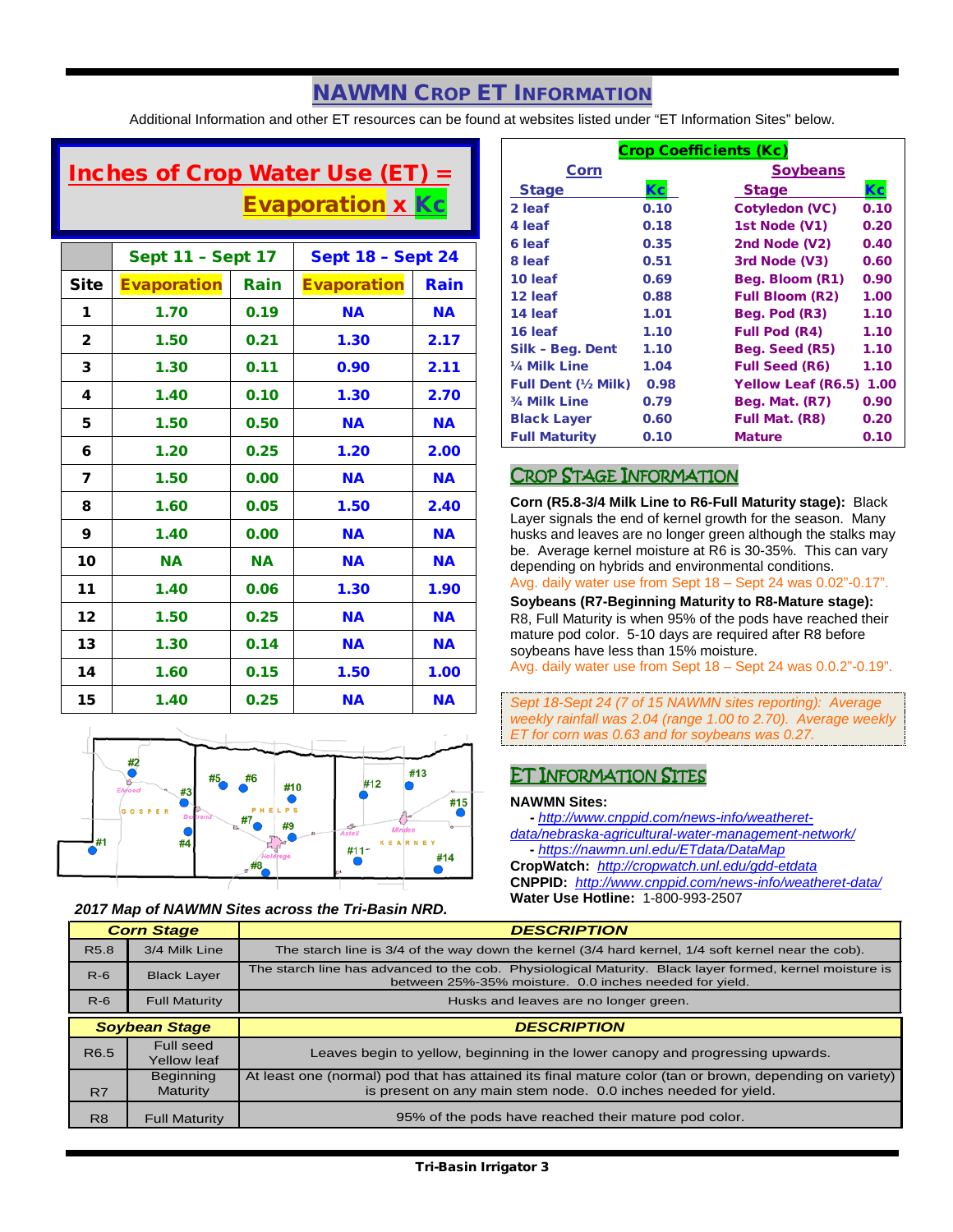# NAWMN CROP ET INFORMATION

Additional Information and other ET resources can be found at websites listed under "ET Information Sites" below.

# Inches of Crop Water Use (ET) = Evaporation x Kc

|                | <b>Sept 11 - Sept 17</b> |           | <b>Sept 18 - Sept 24</b> |           |  |  |  |
|----------------|--------------------------|-----------|--------------------------|-----------|--|--|--|
| <b>Site</b>    | <b>Evaporation</b>       | Rain      | <b>Evaporation</b>       | Rain      |  |  |  |
| 1              | 1.70                     | 0.19      | <b>NA</b>                | <b>NA</b> |  |  |  |
| $\overline{2}$ | 1.50                     | 0.21      | 1.30                     | 2.17      |  |  |  |
| 3              | 1.30                     | 0.11      | 0.90                     | 2.11      |  |  |  |
| 4              | 1.40                     | 0.10      | 1.30                     | 2.70      |  |  |  |
| 5              | 1.50                     | 0.50      | <b>NA</b>                | <b>NA</b> |  |  |  |
| 6              | 1.20                     | 0.25      | 1.20                     | 2.00      |  |  |  |
| 7              | 1.50                     | 0.00      | <b>NA</b>                | <b>NA</b> |  |  |  |
| 8              | 1.60                     | 0.05      | 1.50                     | 2.40      |  |  |  |
| 9              | 1.40                     | 0.00      | <b>NA</b>                | <b>NA</b> |  |  |  |
| 10             | <b>NA</b>                | <b>NA</b> | <b>NA</b>                | <b>NA</b> |  |  |  |
| 11             | 1.40                     | 0.06      | 1.30                     | 1.90      |  |  |  |
| 12             | 1.50                     | 0.25      | <b>NA</b>                | <b>NA</b> |  |  |  |
| 13             | 1.30                     | 0.14      | <b>NA</b>                | <b>NA</b> |  |  |  |
| 14             | 1.60                     | 0.15      | 1.50                     | 1.00      |  |  |  |
| 15             | 1.40                     | 0.25      | <b>NA</b>                | <b>NA</b> |  |  |  |



### *2017 Map of NAWMN Sites across the Tri-Basin NRD.*

| <b>Crop Coefficients (Kc)</b> |      |                           |      |  |  |  |  |  |
|-------------------------------|------|---------------------------|------|--|--|--|--|--|
| Corn                          |      | <b>Soybeans</b>           |      |  |  |  |  |  |
| <b>Stage</b>                  | Кc   | <b>Stage</b>              | Кc   |  |  |  |  |  |
| 2 leaf                        | 0.10 | <b>Cotyledon (VC)</b>     | 0.10 |  |  |  |  |  |
| 4 leaf                        | 0.18 | 1st Node (V1)             | 0.20 |  |  |  |  |  |
| 6 leaf                        | 0.35 | 2nd Node (V2)             | 0.40 |  |  |  |  |  |
| 8 leaf                        | 0.51 | 3rd Node (V3)             | 0.60 |  |  |  |  |  |
| 10 leaf                       | 0.69 | Beg. Bloom (R1)           | 0.90 |  |  |  |  |  |
| 12 leaf                       | 0.88 | <b>Full Bloom (R2)</b>    | 1.00 |  |  |  |  |  |
| 14 leaf                       | 1.01 | Beg. Pod (R3)             | 1.10 |  |  |  |  |  |
| 16 leaf                       | 1.10 | <b>Full Pod (R4)</b>      | 1.10 |  |  |  |  |  |
| Silk - Beg. Dent              | 1.10 | Beg. Seed (R5)            | 1.10 |  |  |  |  |  |
| 1/4 Milk Line                 | 1.04 | <b>Full Seed (R6)</b>     | 1.10 |  |  |  |  |  |
| <b>Full Dent (1/2 Milk)</b>   | 0.98 | <b>Yellow Leaf (R6.5)</b> | 1.00 |  |  |  |  |  |
| 3/4 Milk Line                 | 0.79 | Beg. Mat. (R7)            | 0.90 |  |  |  |  |  |
| <b>Black Layer</b>            | 0.60 | Full Mat. (R8)            | 0.20 |  |  |  |  |  |
| <b>Full Maturity</b>          | 0.10 | <b>Mature</b>             | 0.10 |  |  |  |  |  |

### CROP STAGE INFORMATION

**Corn (R5.8-3/4 Milk Line to R6-Full Maturity stage):** Black Layer signals the end of kernel growth for the season. Many husks and leaves are no longer green although the stalks may be. Average kernel moisture at R6 is 30-35%. This can vary depending on hybrids and environmental conditions.

Avg. daily water use from Sept 18 – Sept 24 was 0.02"-0.17".

**Soybeans (R7-Beginning Maturity to R8-Mature stage):** R8, Full Maturity is when 95% of the pods have reached their mature pod color. 5-10 days are required after R8 before soybeans have less than 15% moisture.

Avg. daily water use from Sept 18 – Sept 24 was 0.0.2"-0.19".

*Sept 18-Sept 24 (7 of 15 NAWMN sites reporting): Average weekly rainfall was 2.04 (range 1.00 to 2.70). Average weekly ET for corn was 0.63 and for soybeans was 0.27.*

### ET INFORMATION SITES

### **NAWMN Sites:**

 **-** *[http://www.cnppid.com/news-info/weatheret](http://www.cnppid.com/news-info/weatheret-data/nebraska-agricultural-water-management-network/)[data/nebraska-agricultural-water-management-network/](http://www.cnppid.com/news-info/weatheret-data/nebraska-agricultural-water-management-network/)* **-** *<https://nawmn.unl.edu/ETdata/DataMap>*

**CropWatch:** *<http://cropwatch.unl.edu/gdd-etdata>* **CNPPID:** *<http://www.cnppid.com/news-info/weatheret-data/>* **Water Use Hotline:** 1-800-993-2507

|                      | <b>Corn Stage</b>    | <b>DESCRIPTION</b>                                                                                                                                                |
|----------------------|----------------------|-------------------------------------------------------------------------------------------------------------------------------------------------------------------|
| R <sub>5.8</sub>     | 3/4 Milk Line        | The starch line is 3/4 of the way down the kernel (3/4 hard kernel, 1/4 soft kernel near the cob).                                                                |
| $R-6$                | <b>Black Layer</b>   | The starch line has advanced to the cob. Physiological Maturity. Black layer formed, kernel moisture is<br>between 25%-35% moisture. 0.0 inches needed for yield. |
| $R-6$                | <b>Full Maturity</b> | Husks and leaves are no longer green.                                                                                                                             |
|                      |                      |                                                                                                                                                                   |
| <b>Soybean Stage</b> |                      |                                                                                                                                                                   |
|                      |                      | <b>DESCRIPTION</b>                                                                                                                                                |
|                      | Full seed            |                                                                                                                                                                   |
| R <sub>6.5</sub>     | <b>Yellow leaf</b>   | Leaves begin to yellow, beginning in the lower canopy and progressing upwards.                                                                                    |
|                      | <b>Beginning</b>     | At least one (normal) pod that has attained its final mature color (tan or brown, depending on variety)                                                           |
| R7                   | <b>Maturity</b>      | is present on any main stem node. 0.0 inches needed for yield.                                                                                                    |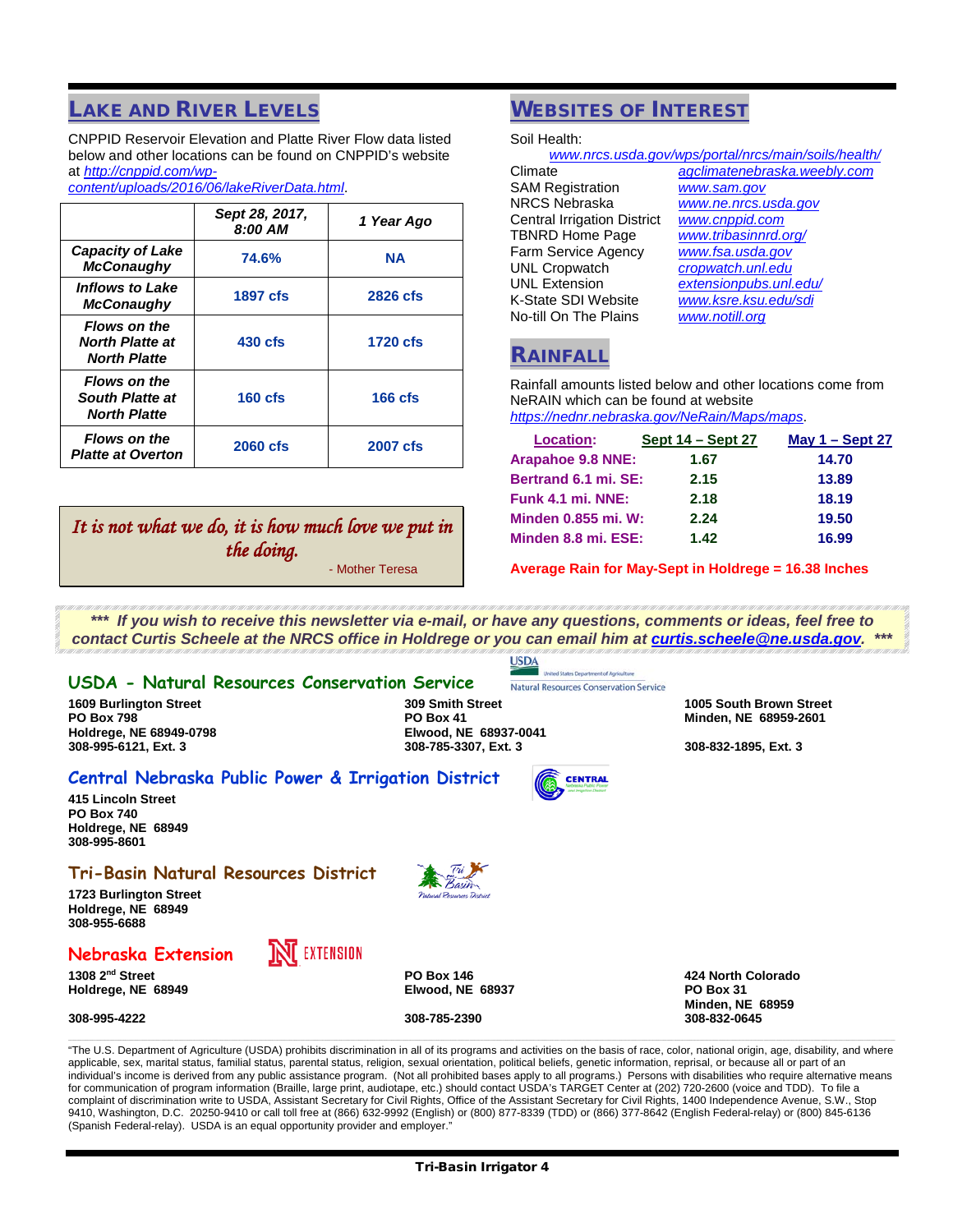# **LAKE AND RIVER LEVELS**

CNPPID Reservoir Elevation and Platte River Flow data listed below and other locations can be found on CNPPID's website at *[http://cnppid.com/wp-](http://cnppid.com/wp-content/uploads/2016/06/lakeRiverData.html)*

*[content/uploads/2016/06/lakeRiverData.html](http://cnppid.com/wp-content/uploads/2016/06/lakeRiverData.html)*.

|                                                                      | Sept 28, 2017,<br>8:00 AM | 1 Year Ago      |
|----------------------------------------------------------------------|---------------------------|-----------------|
| <b>Capacity of Lake</b><br><b>McConaughy</b>                         | 74.6%                     | <b>NA</b>       |
| <b>Inflows to Lake</b><br><b>McConaughy</b>                          | <b>1897 cfs</b>           | 2826 cfs        |
| <b>Flows on the</b><br><b>North Platte at</b><br><b>North Platte</b> | 430 cfs                   | 1720 cfs        |
| <b>Flows on the</b><br><b>South Platte at</b><br><b>North Platte</b> | $160$ cfs                 | $166$ cfs       |
| <b>Flows on the</b><br><b>Platte at Overton</b>                      | 2060 cfs                  | <b>2007 cfs</b> |

# *It is not what we do, it is how much love we put in the doing.*

- Mother Teresa

# WEBSITES OF INTEREST

Soil Health:

| www.nrcs.usda.gov/wps/portal/nrcs/main/soils/health/ |                              |  |  |  |  |  |  |
|------------------------------------------------------|------------------------------|--|--|--|--|--|--|
| Climate                                              | agclimatenebraska.weebly.com |  |  |  |  |  |  |
| <b>SAM Registration</b>                              | www.sam.gov                  |  |  |  |  |  |  |
| <b>NRCS Nebraska</b>                                 | www.ne.nrcs.usda.gov         |  |  |  |  |  |  |
| <b>Central Irrigation District</b>                   | www.cnppid.com               |  |  |  |  |  |  |
| <b>TBNRD Home Page</b>                               | www.tribasinnrd.org/         |  |  |  |  |  |  |
| <b>Farm Service Agency</b>                           | www.fsa.usda.gov             |  |  |  |  |  |  |
| <b>UNL Cropwatch</b>                                 | cropwatch.unl.edu            |  |  |  |  |  |  |
| <b>UNL Extension</b>                                 | extensionpubs.unl.edu/       |  |  |  |  |  |  |
| K-State SDI Website                                  | www.ksre.ksu.edu/sdi         |  |  |  |  |  |  |
| No-till On The Plains                                | www.notill.org               |  |  |  |  |  |  |
|                                                      |                              |  |  |  |  |  |  |

### **RAINFALI**

Rainfall amounts listed below and other locations come from NeRAIN which can be found at website *<https://nednr.nebraska.gov/NeRain/Maps/maps>*.

| <b>Location:</b>           | Sept 14 – Sept 27 | May $1 -$ Sept 27 |
|----------------------------|-------------------|-------------------|
| Arapahoe 9.8 NNE:          | 1.67              | 14.70             |
| Bertrand 6.1 mi. SE:       | 2.15              | 13.89             |
| Funk 4.1 mi. NNE:          | 2.18              | 18.19             |
| <b>Minden 0.855 mi. W:</b> | 2.24              | 19.50             |
| Minden 8.8 mi. ESE:        | 1.42              | 16.99             |

**Average Rain for May-Sept in Holdrege = 16.38 Inches**

*\*\*\* If you wish to receive this newsletter via e-mail, or have any questions, comments or ideas, feel free to contact Curtis Scheele at the NRCS office in Holdrege or you can email him at [curtis.scheele@ne.usda.gov.](mailto:curtis.scheele@ne.usda.gov?subject=Tri-Basin%20Irrigator) \*\*\**

**USDA** 

Natural Resources Conservation Service

**CENTRAL** 

### **USDA - Natural Resources Conservation Service**

**Holdrege, NE 68949-0798<br>308-995-6121, Ext. 3** 

**1609 Burlington Street 309 Smith Street 1005 South Brown Street PO Box 798 PO Box 41 Minden, NE 68959-2601 308-995-6121, Ext. 3 308-785-3307, Ext. 3 308-832-1895, Ext. 3**

### **Central Nebraska Public Power & Irrigation District**

**415 Lincoln Street PO Box 740 Holdrege, NE 68949 308-995-8601**

### **Tri-Basin Natural Resources District**

**1723 Burlington Street Holdrege, NE 68949 308-955-6688**

### **Nebraska Extension**

**IN** EXTENSION

**1308 2nd Street PO Box 146 424 North Colorado**  $H$ oldrege, NE 68949

**308-995-4222 308-785-2390 308-832-0645**

**Minden, NE 68959**

"The U.S. Department of Agriculture (USDA) prohibits discrimination in all of its programs and activities on the basis of race, color, national origin, age, disability, and where applicable, sex, marital status, familial status, parental status, religion, sexual orientation, political beliefs, genetic information, reprisal, or because all or part of an individual's income is derived from any public assistance program. (Not all prohibited bases apply to all programs.) Persons with disabilities who require alternative means for communication of program information (Braille, large print, audiotape, etc.) should contact USDA's TARGET Center at (202) 720-2600 (voice and TDD). To file a complaint of discrimination write to USDA, Assistant Secretary for Civil Rights, Office of the Assistant Secretary for Civil Rights, 1400 Independence Avenue, S.W., Stop 9410, Washington, D.C. 20250-9410 or call toll free at (866) 632-9992 (English) or (800) 877-8339 (TDD) or (866) 377-8642 (English Federal-relay) or (800) 845-6136 (Spanish Federal-relay). USDA is an equal opportunity provider and employer."

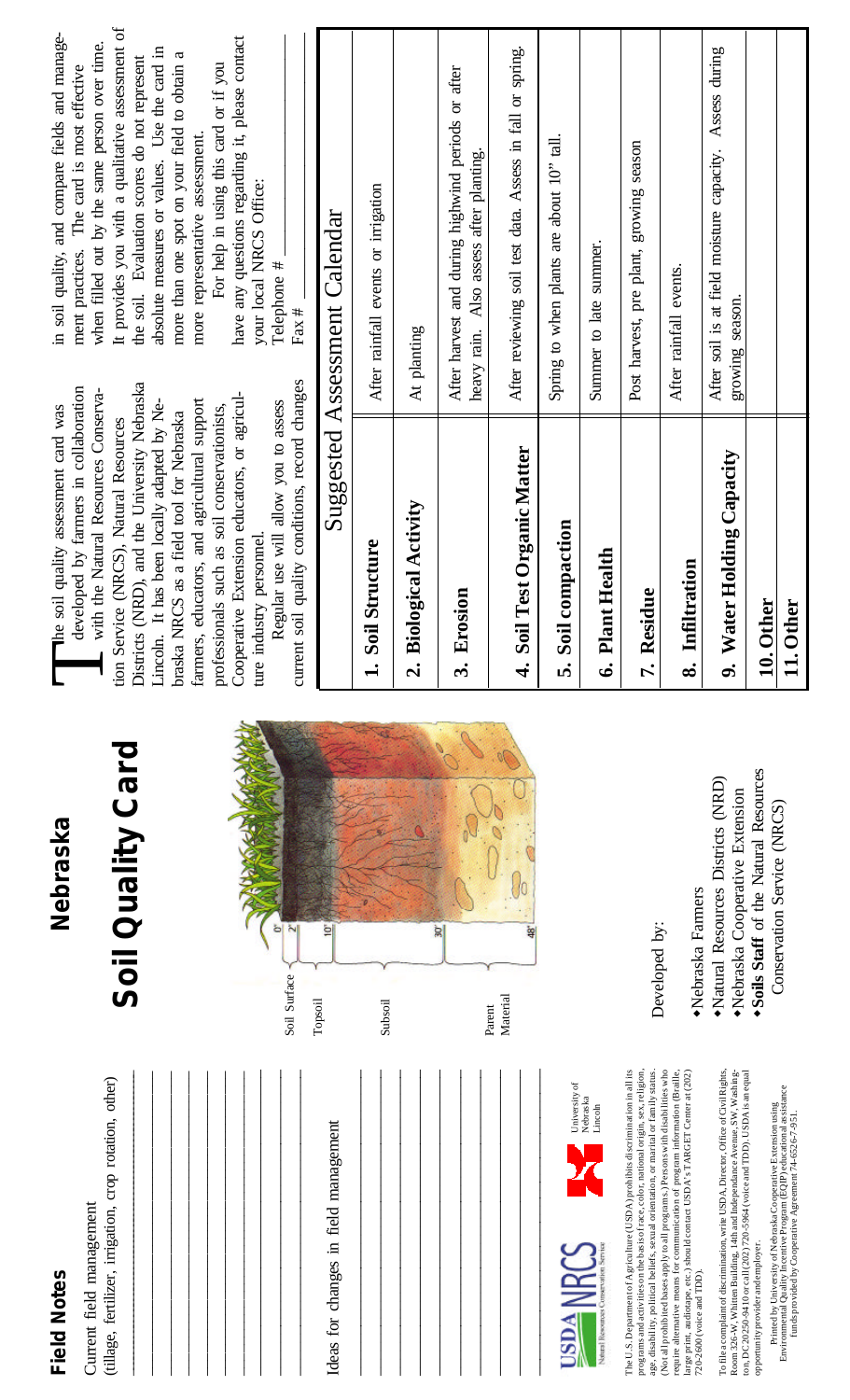| n      |
|--------|
| Φ      |
|        |
|        |
| σ.     |
| ß<br>г |
|        |
|        |

(tillage, fertilizer, irrigation, crop rotation, other) (tillage, fertilizer, irrigation, crop rotation, other) Current field management Current field management

| ì<br>à<br>ò, |  |  |  |  |  |  | Ideas for changes in field management |  |  |  |  |
|--------------|--|--|--|--|--|--|---------------------------------------|--|--|--|--|
|--------------|--|--|--|--|--|--|---------------------------------------|--|--|--|--|



 $\overline{\phantom{a}}$  $\overline{\phantom{a}}$  $\overline{\phantom{a}}$  $\overline{\phantom{a}}$  $\mathcal{L}_\text{max}$ 



The U.S. Department of Agriculture (USDA) prohibits discrimination in all its programs and activities on the basis of race, color, national origin, sex, religion, age, disability, political beliefs, sexual orientation, or marital or family status. (Not all prohibited bases apply to all programs.) Persons with disabilities who (Not all prohibited bases apply to all programs.) Persons with disabilities who require alternative means for communication of program information (Braille, large print, audiotape, etc.) should contact USDA's TARGET Center at (202) The U.S. Department of Agriculture (USDA) prohibits discrimination in all its programs and activities on the basis of race, color, national origin, sex, religion age, disability, political beliefs, sexual orientation, or marital or family status require alternative means for communication of program information (Braille large print, audiotape, etc.) should contact USDA's TARGET Center at (202 720-2600 (voice and TDD). 720-2600 (voice and TDD).

To file a complaint of discrimination, write USDA, Director, Office of Civil Rights, Room 326-W, Whitten Building, 14th and Independance Avenue, SW, Washington, DC 20250-9410 or call (202) 720-5964 (voice and TDD). USDA is an equal To file a complaint of discrimination, write USDA, Director, Office of Civil Rights Room 326-W, Whitten Building, 14th and Independance Avenue, SW, Washing ton, DC 20250-9410 or call (202) 720-5964 (voice and TDD). USDA is an equal opportunity provider and employer. opportunity provider and employer

Printed by University of Nebraska Cooperative Extension using<br>Environmental Quality Incentive Program (EQIP) educational assistance Environmental Quality Incentive Program (EQIP) educational assistance Printed by University of Nebraska Cooperative Extension using funds provided by Cooperative Agreement 74-6526-7-951. funds provided by Cooperative Agreement 74-6526-7-951.

# **Nebraska**

# Soil Quality Card **Soil Quality Card**



·Nebraska Farmers Developed by: Developed by:

Soils Staff of the Natural Resources w**Soils Staff** of the Natural Resources Natural Resources Districts (NRD) wNatural Resources Districts (NRD) ·Nebraska Cooperative Extension wNebraska Cooperative Extension Conservation Service (NRCS) Conservation Service (NRCS) wNebraska Farmers

Districts (NRD), and the University Nebraska Districts (NRD), and the University Nebraska **The soil quality assessment card was**<br>developed by farmers in collaboration<br>with the Natural Resources Conserva-<br>tion Service (NRCS), Natural Resources developed by farmers in collaboration with the Natural Resources Conserva-Cooperative Extension educators, or agricul-Cooperative Extension educators, or agricul-Lincoln. It has been locally adapted by Nefarmers, educators, and agricultural support farmers, educators, and agricultural support Lincoln. It has been locally adapted by Neprofessionals such as soil conservationists, professionals such as soil conservationists, he soil quality assessment card was braska NRCS as a field tool for Nebraska braska NRCS as a field tool for Nebraska tion Service (NRCS), Natural Resources ture industry personnel. ture industry personnel.

current soil quality conditions, record changes current soil quality conditions, record changes Regular use will allow you to assess Regular use will allow you to assess

It provides you with a qualitative assessment of It provides you with a qualitative assessment of in soil quality, and compare fields and managein soil quality, and compare fields and managewhen filled out by the same person over time. when filled out by the same person over time. absolute measures or values. Use the card in absolute measures or values. Use the card in more than one spot on your field to obtain a more than one spot on your field to obtain a the soil. Evaluation scores do not represent the soil. Evaluation scores do not represent ment practices. The card is most effective ment practices. The card is most effective more representative assessment. more representative assessment.

have any questions regarding it, please contact Telephone # have any questions regarding it, please contact For help in using this card or if you For help in using this card or if you your local NRCS Office: your local NRCS Office: Telephone #

Fax # \_\_\_\_\_\_\_\_\_\_\_\_\_\_\_\_\_\_\_\_\_\_\_\_\_\_\_\_\_\_\_\_

Fax  $#$ 

|                             | Suggested Assessment Calendar                                                                 |
|-----------------------------|-----------------------------------------------------------------------------------------------|
| 1. Soil Structure           | After rainfall events or irrigation                                                           |
| 2. Biological Activity      | At planting                                                                                   |
| 3. Erosion                  | After harvest and during highwind periods or after<br>heavy rain. Also assess after planting. |
| 4. Soil Test Organic Matter | After reviewing soil test data. Assess in fall or spring.                                     |
| 5. Soil compaction          | Spring to when plants are about 10" tall.                                                     |
| 6. Plant Health             | Summer to late summer.                                                                        |
| 7. Residue                  | Post harvest, pre plant, growing season                                                       |
| 8. Infiltration             | After rainfall events.                                                                        |
| 9. Water Holding Capacity   | After soil is at field moisture capacity. Assess during<br>growing season.                    |
| 10. Other                   |                                                                                               |
| 11. Other                   |                                                                                               |